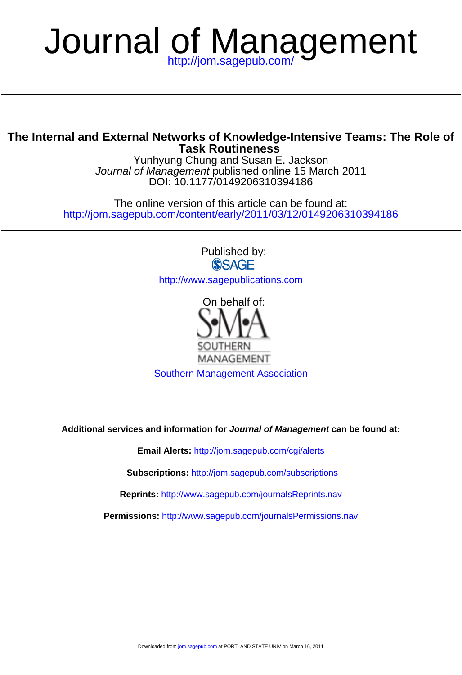# Journal of Management

# **Task Routineness The Internal and External Networks of Knowledge-Intensive Teams: The Role of**

DOI: 10.1177/0149206310394186 Journal of Management published online 15 March 2011 Yunhyung Chung and Susan E. Jackson

<http://jom.sagepub.com/content/early/2011/03/12/0149206310394186> The online version of this article can be found at:

> Published by: **SSAGE**

<http://www.sagepublications.com>



[Southern Management Association](http://www.southernmanagement.org/)

**Additional services and information for Journal of Management can be found at:**

**Email Alerts:** <http://jom.sagepub.com/cgi/alerts>

**Subscriptions:** <http://jom.sagepub.com/subscriptions>

**Reprints:** <http://www.sagepub.com/journalsReprints.nav>

**Permissions:** <http://www.sagepub.com/journalsPermissions.nav>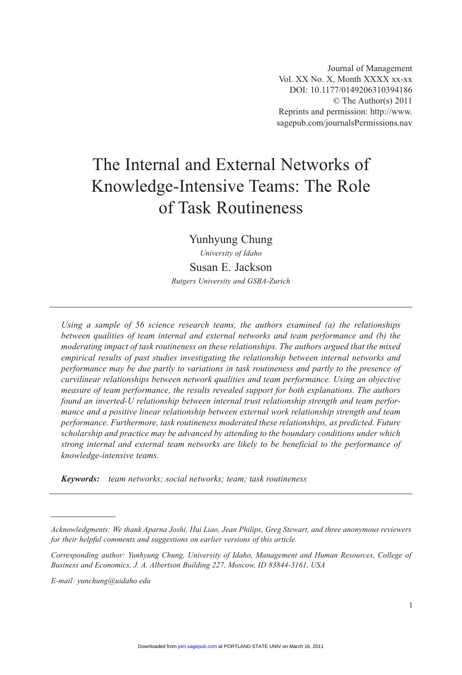Journal of Management Vol. XX No. X, Month XXXX xx-xx DOI: 10.1177/0149206310394186 © The Author(s) 2011 Reprints and permission: http://www. sagepub.com/journalsPermissions.nav

# The Internal and External Networks of Knowledge-Intensive Teams: The Role of Task Routineness

Yunhyung Chung

*University of Idaho*

Susan E. Jackson *Rutgers University and GSBA-Zurich*

*Using a sample of 56 science research teams, the authors examined (a) the relationships between qualities of team internal and external networks and team performance and (b) the moderating impact of task routineness on these relationships. The authors argued that the mixed empirical results of past studies investigating the relationship between internal networks and performance may be due partly to variations in task routineness and partly to the presence of curvilinear relationships between network qualities and team performance. Using an objective measure of team performance, the results revealed support for both explanations. The authors found an inverted-U relationship between internal trust relationship strength and team performance and a positive linear relationship between external work relationship strength and team performance. Furthermore, task routineness moderated these relationships, as predicted. Future scholarship and practice may be advanced by attending to the boundary conditions under which strong internal and external team networks are likely to be beneficial to the performance of knowledge-intensive teams.*

*Keywords: team networks; social networks; team; task routineness*

*E-mail: yunchung@uidaho.edu*

*Acknowledgments: We thank Aparna Joshi, Hui Liao, Jean Philips, Greg Stewart, and three anonymous reviewers for their helpful comments and suggestions on earlier versions of this article.*

*Corresponding author: Yunhyung Chung, University of Idaho, Management and Human Resources, College of Business and Economics, J. A. Albertson Building 227, Moscow, ID 83844-3161, USA*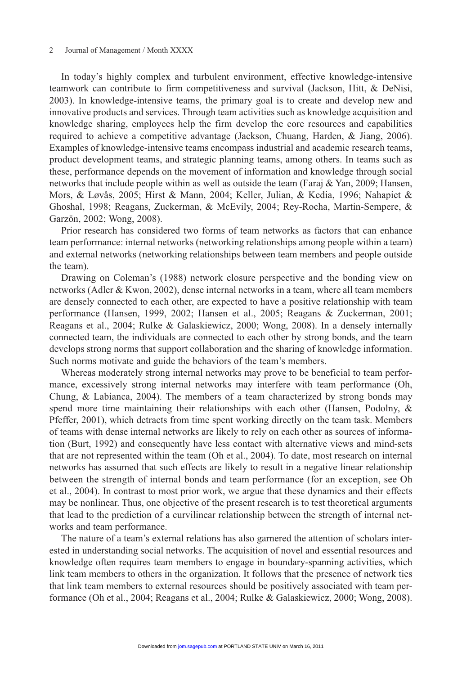### 2 Journal of Management / Month XXXX

In today's highly complex and turbulent environment, effective knowledge-intensive teamwork can contribute to firm competitiveness and survival (Jackson, Hitt, & DeNisi, 2003). In knowledge-intensive teams, the primary goal is to create and develop new and innovative products and services. Through team activities such as knowledge acquisition and knowledge sharing, employees help the firm develop the core resources and capabilities required to achieve a competitive advantage (Jackson, Chuang, Harden, & Jiang, 2006). Examples of knowledge-intensive teams encompass industrial and academic research teams, product development teams, and strategic planning teams, among others. In teams such as these, performance depends on the movement of information and knowledge through social networks that include people within as well as outside the team (Faraj & Yan, 2009; Hansen, Mors, & Løvås, 2005; Hirst & Mann, 2004; Keller, Julian, & Kedia, 1996; Nahapiet & Ghoshal, 1998; Reagans, Zuckerman, & McEvily, 2004; Rey-Rocha, Martin-Sempere, & Garzön, 2002; Wong, 2008).

Prior research has considered two forms of team networks as factors that can enhance team performance: internal networks (networking relationships among people within a team) and external networks (networking relationships between team members and people outside the team).

Drawing on Coleman's (1988) network closure perspective and the bonding view on networks (Adler & Kwon, 2002), dense internal networks in a team, where all team members are densely connected to each other, are expected to have a positive relationship with team performance (Hansen, 1999, 2002; Hansen et al., 2005; Reagans & Zuckerman, 2001; Reagans et al., 2004; Rulke & Galaskiewicz, 2000; Wong, 2008). In a densely internally connected team, the individuals are connected to each other by strong bonds, and the team develops strong norms that support collaboration and the sharing of knowledge information. Such norms motivate and guide the behaviors of the team's members.

Whereas moderately strong internal networks may prove to be beneficial to team performance, excessively strong internal networks may interfere with team performance (Oh, Chung, & Labianca, 2004). The members of a team characterized by strong bonds may spend more time maintaining their relationships with each other (Hansen, Podolny,  $\&$ Pfeffer, 2001), which detracts from time spent working directly on the team task. Members of teams with dense internal networks are likely to rely on each other as sources of information (Burt, 1992) and consequently have less contact with alternative views and mind-sets that are not represented within the team (Oh et al., 2004). To date, most research on internal networks has assumed that such effects are likely to result in a negative linear relationship between the strength of internal bonds and team performance (for an exception, see Oh et al., 2004). In contrast to most prior work, we argue that these dynamics and their effects may be nonlinear. Thus, one objective of the present research is to test theoretical arguments that lead to the prediction of a curvilinear relationship between the strength of internal networks and team performance.

The nature of a team's external relations has also garnered the attention of scholars interested in understanding social networks. The acquisition of novel and essential resources and knowledge often requires team members to engage in boundary-spanning activities, which link team members to others in the organization. It follows that the presence of network ties that link team members to external resources should be positively associated with team performance (Oh et al., 2004; Reagans et al., 2004; Rulke & Galaskiewicz, 2000; Wong, 2008).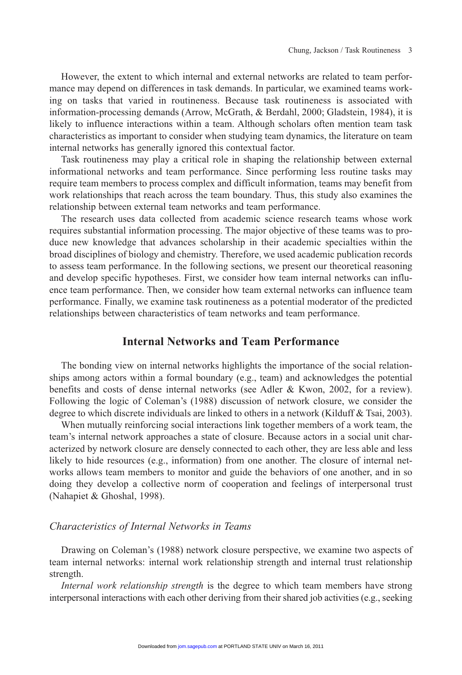However, the extent to which internal and external networks are related to team performance may depend on differences in task demands. In particular, we examined teams working on tasks that varied in routineness. Because task routineness is associated with information-processing demands (Arrow, McGrath, & Berdahl, 2000; Gladstein, 1984), it is likely to influence interactions within a team. Although scholars often mention team task characteristics as important to consider when studying team dynamics, the literature on team internal networks has generally ignored this contextual factor.

Task routineness may play a critical role in shaping the relationship between external informational networks and team performance. Since performing less routine tasks may require team members to process complex and difficult information, teams may benefit from work relationships that reach across the team boundary. Thus, this study also examines the relationship between external team networks and team performance.

The research uses data collected from academic science research teams whose work requires substantial information processing. The major objective of these teams was to produce new knowledge that advances scholarship in their academic specialties within the broad disciplines of biology and chemistry. Therefore, we used academic publication records to assess team performance. In the following sections, we present our theoretical reasoning and develop specific hypotheses. First, we consider how team internal networks can influence team performance. Then, we consider how team external networks can influence team performance. Finally, we examine task routineness as a potential moderator of the predicted relationships between characteristics of team networks and team performance.

# **Internal Networks and Team Performance**

The bonding view on internal networks highlights the importance of the social relationships among actors within a formal boundary (e.g., team) and acknowledges the potential benefits and costs of dense internal networks (see Adler & Kwon, 2002, for a review). Following the logic of Coleman's (1988) discussion of network closure, we consider the degree to which discrete individuals are linked to others in a network (Kilduff & Tsai, 2003).

When mutually reinforcing social interactions link together members of a work team, the team's internal network approaches a state of closure. Because actors in a social unit characterized by network closure are densely connected to each other, they are less able and less likely to hide resources (e.g., information) from one another. The closure of internal networks allows team members to monitor and guide the behaviors of one another, and in so doing they develop a collective norm of cooperation and feelings of interpersonal trust (Nahapiet & Ghoshal, 1998).

# *Characteristics of Internal Networks in Teams*

Drawing on Coleman's (1988) network closure perspective, we examine two aspects of team internal networks: internal work relationship strength and internal trust relationship strength.

*Internal work relationship strength* is the degree to which team members have strong interpersonal interactions with each other deriving from their shared job activities (e.g., seeking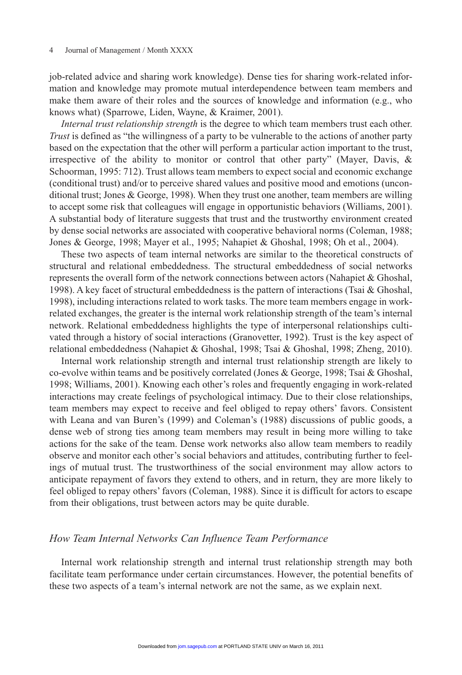job-related advice and sharing work knowledge). Dense ties for sharing work-related information and knowledge may promote mutual interdependence between team members and make them aware of their roles and the sources of knowledge and information (e.g., who knows what) (Sparrowe, Liden, Wayne, & Kraimer, 2001).

*Internal trust relationship strength* is the degree to which team members trust each other. *Trust* is defined as "the willingness of a party to be vulnerable to the actions of another party based on the expectation that the other will perform a particular action important to the trust, irrespective of the ability to monitor or control that other party" (Mayer, Davis, & Schoorman, 1995: 712). Trust allows team members to expect social and economic exchange (conditional trust) and/or to perceive shared values and positive mood and emotions (unconditional trust; Jones  $& George$ , 1998). When they trust one another, team members are willing to accept some risk that colleagues will engage in opportunistic behaviors (Williams, 2001). A substantial body of literature suggests that trust and the trustworthy environment created by dense social networks are associated with cooperative behavioral norms (Coleman, 1988; Jones & George, 1998; Mayer et al., 1995; Nahapiet & Ghoshal, 1998; Oh et al., 2004).

These two aspects of team internal networks are similar to the theoretical constructs of structural and relational embeddedness. The structural embeddedness of social networks represents the overall form of the network connections between actors (Nahapiet & Ghoshal, 1998). A key facet of structural embeddedness is the pattern of interactions (Tsai & Ghoshal, 1998), including interactions related to work tasks. The more team members engage in workrelated exchanges, the greater is the internal work relationship strength of the team's internal network. Relational embeddedness highlights the type of interpersonal relationships cultivated through a history of social interactions (Granovetter, 1992). Trust is the key aspect of relational embeddedness (Nahapiet & Ghoshal, 1998; Tsai & Ghoshal, 1998; Zheng, 2010).

Internal work relationship strength and internal trust relationship strength are likely to co-evolve within teams and be positively correlated (Jones & George, 1998; Tsai & Ghoshal, 1998; Williams, 2001). Knowing each other's roles and frequently engaging in work-related interactions may create feelings of psychological intimacy. Due to their close relationships, team members may expect to receive and feel obliged to repay others' favors. Consistent with Leana and van Buren's (1999) and Coleman's (1988) discussions of public goods, a dense web of strong ties among team members may result in being more willing to take actions for the sake of the team. Dense work networks also allow team members to readily observe and monitor each other's social behaviors and attitudes, contributing further to feelings of mutual trust. The trustworthiness of the social environment may allow actors to anticipate repayment of favors they extend to others, and in return, they are more likely to feel obliged to repay others' favors (Coleman, 1988). Since it is difficult for actors to escape from their obligations, trust between actors may be quite durable.

# *How Team Internal Networks Can Influence Team Performance*

Internal work relationship strength and internal trust relationship strength may both facilitate team performance under certain circumstances. However, the potential benefits of these two aspects of a team's internal network are not the same, as we explain next.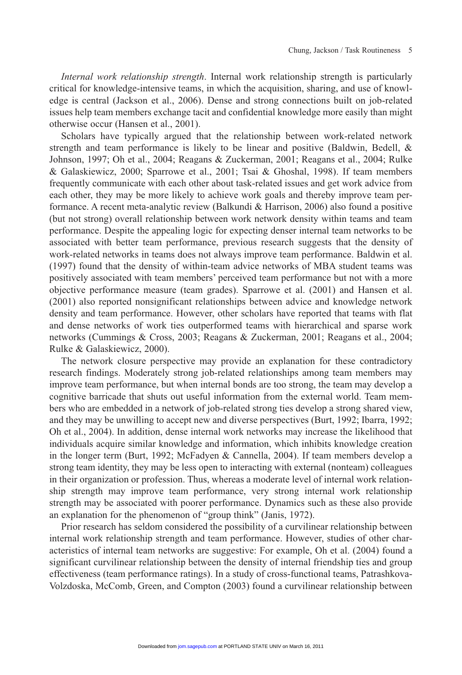*Internal work relationship strength*. Internal work relationship strength is particularly critical for knowledge-intensive teams, in which the acquisition, sharing, and use of knowledge is central (Jackson et al., 2006). Dense and strong connections built on job-related issues help team members exchange tacit and confidential knowledge more easily than might otherwise occur (Hansen et al., 2001).

Scholars have typically argued that the relationship between work-related network strength and team performance is likely to be linear and positive (Baldwin, Bedell, & Johnson, 1997; Oh et al., 2004; Reagans & Zuckerman, 2001; Reagans et al., 2004; Rulke & Galaskiewicz, 2000; Sparrowe et al., 2001; Tsai & Ghoshal, 1998). If team members frequently communicate with each other about task-related issues and get work advice from each other, they may be more likely to achieve work goals and thereby improve team performance. A recent meta-analytic review (Balkundi & Harrison, 2006) also found a positive (but not strong) overall relationship between work network density within teams and team performance. Despite the appealing logic for expecting denser internal team networks to be associated with better team performance, previous research suggests that the density of work-related networks in teams does not always improve team performance. Baldwin et al. (1997) found that the density of within-team advice networks of MBA student teams was positively associated with team members' perceived team performance but not with a more objective performance measure (team grades). Sparrowe et al. (2001) and Hansen et al. (2001) also reported nonsignificant relationships between advice and knowledge network density and team performance. However, other scholars have reported that teams with flat and dense networks of work ties outperformed teams with hierarchical and sparse work networks (Cummings & Cross, 2003; Reagans & Zuckerman, 2001; Reagans et al., 2004; Rulke & Galaskiewicz, 2000).

The network closure perspective may provide an explanation for these contradictory research findings. Moderately strong job-related relationships among team members may improve team performance, but when internal bonds are too strong, the team may develop a cognitive barricade that shuts out useful information from the external world. Team members who are embedded in a network of job-related strong ties develop a strong shared view, and they may be unwilling to accept new and diverse perspectives (Burt, 1992; Ibarra, 1992; Oh et al., 2004). In addition, dense internal work networks may increase the likelihood that individuals acquire similar knowledge and information, which inhibits knowledge creation in the longer term (Burt, 1992; McFadyen & Cannella, 2004). If team members develop a strong team identity, they may be less open to interacting with external (nonteam) colleagues in their organization or profession. Thus, whereas a moderate level of internal work relationship strength may improve team performance, very strong internal work relationship strength may be associated with poorer performance. Dynamics such as these also provide an explanation for the phenomenon of "group think" (Janis, 1972).

Prior research has seldom considered the possibility of a curvilinear relationship between internal work relationship strength and team performance. However, studies of other characteristics of internal team networks are suggestive: For example, Oh et al. (2004) found a significant curvilinear relationship between the density of internal friendship ties and group effectiveness (team performance ratings). In a study of cross-functional teams, Patrashkova-Volzdoska, McComb, Green, and Compton (2003) found a curvilinear relationship between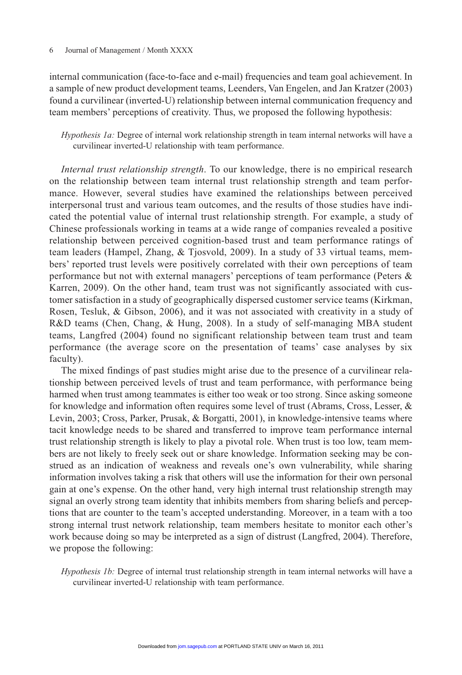### 6 Journal of Management / Month XXXX

internal communication (face-to-face and e-mail) frequencies and team goal achievement. In a sample of new product development teams, Leenders, Van Engelen, and Jan Kratzer (2003) found a curvilinear (inverted-U) relationship between internal communication frequency and team members' perceptions of creativity. Thus, we proposed the following hypothesis:

*Hypothesis 1a:* Degree of internal work relationship strength in team internal networks will have a curvilinear inverted-U relationship with team performance.

*Internal trust relationship strength*. To our knowledge, there is no empirical research on the relationship between team internal trust relationship strength and team performance. However, several studies have examined the relationships between perceived interpersonal trust and various team outcomes, and the results of those studies have indicated the potential value of internal trust relationship strength. For example, a study of Chinese professionals working in teams at a wide range of companies revealed a positive relationship between perceived cognition-based trust and team performance ratings of team leaders (Hampel, Zhang, & Tjosvold, 2009). In a study of 33 virtual teams, members' reported trust levels were positively correlated with their own perceptions of team performance but not with external managers' perceptions of team performance (Peters & Karren, 2009). On the other hand, team trust was not significantly associated with customer satisfaction in a study of geographically dispersed customer service teams (Kirkman, Rosen, Tesluk, & Gibson, 2006), and it was not associated with creativity in a study of R&D teams (Chen, Chang, & Hung, 2008). In a study of self-managing MBA student teams, Langfred (2004) found no significant relationship between team trust and team performance (the average score on the presentation of teams' case analyses by six faculty).

The mixed findings of past studies might arise due to the presence of a curvilinear relationship between perceived levels of trust and team performance, with performance being harmed when trust among teammates is either too weak or too strong. Since asking someone for knowledge and information often requires some level of trust (Abrams, Cross, Lesser, & Levin, 2003; Cross, Parker, Prusak, & Borgatti, 2001), in knowledge-intensive teams where tacit knowledge needs to be shared and transferred to improve team performance internal trust relationship strength is likely to play a pivotal role. When trust is too low, team members are not likely to freely seek out or share knowledge. Information seeking may be construed as an indication of weakness and reveals one's own vulnerability, while sharing information involves taking a risk that others will use the information for their own personal gain at one's expense. On the other hand, very high internal trust relationship strength may signal an overly strong team identity that inhibits members from sharing beliefs and perceptions that are counter to the team's accepted understanding. Moreover, in a team with a too strong internal trust network relationship, team members hesitate to monitor each other's work because doing so may be interpreted as a sign of distrust (Langfred, 2004). Therefore, we propose the following:

*Hypothesis 1b:* Degree of internal trust relationship strength in team internal networks will have a curvilinear inverted-U relationship with team performance.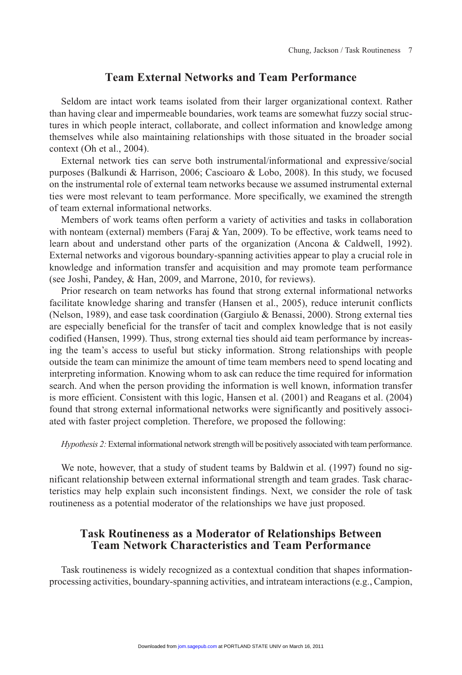# **Team External Networks and Team Performance**

Seldom are intact work teams isolated from their larger organizational context. Rather than having clear and impermeable boundaries, work teams are somewhat fuzzy social structures in which people interact, collaborate, and collect information and knowledge among themselves while also maintaining relationships with those situated in the broader social context (Oh et al., 2004).

External network ties can serve both instrumental/informational and expressive/social purposes (Balkundi & Harrison, 2006; Cascioaro & Lobo, 2008). In this study, we focused on the instrumental role of external team networks because we assumed instrumental external ties were most relevant to team performance. More specifically, we examined the strength of team external informational networks.

Members of work teams often perform a variety of activities and tasks in collaboration with nonteam (external) members (Faraj  $\&$  Yan, 2009). To be effective, work teams need to learn about and understand other parts of the organization (Ancona & Caldwell, 1992). External networks and vigorous boundary-spanning activities appear to play a crucial role in knowledge and information transfer and acquisition and may promote team performance (see Joshi, Pandey, & Han, 2009, and Marrone, 2010, for reviews).

Prior research on team networks has found that strong external informational networks facilitate knowledge sharing and transfer (Hansen et al., 2005), reduce interunit conflicts (Nelson, 1989), and ease task coordination (Gargiulo & Benassi, 2000). Strong external ties are especially beneficial for the transfer of tacit and complex knowledge that is not easily codified (Hansen, 1999). Thus, strong external ties should aid team performance by increasing the team's access to useful but sticky information. Strong relationships with people outside the team can minimize the amount of time team members need to spend locating and interpreting information. Knowing whom to ask can reduce the time required for information search. And when the person providing the information is well known, information transfer is more efficient. Consistent with this logic, Hansen et al. (2001) and Reagans et al. (2004) found that strong external informational networks were significantly and positively associated with faster project completion. Therefore, we proposed the following:

*Hypothesis 2:* External informational network strength will be positively associated with team performance.

We note, however, that a study of student teams by Baldwin et al. (1997) found no significant relationship between external informational strength and team grades. Task characteristics may help explain such inconsistent findings. Next, we consider the role of task routineness as a potential moderator of the relationships we have just proposed.

# **Task Routineness as a Moderator of Relationships Between Team Network Characteristics and Team Performance**

Task routineness is widely recognized as a contextual condition that shapes informationprocessing activities, boundary-spanning activities, and intrateam interactions (e.g., Campion,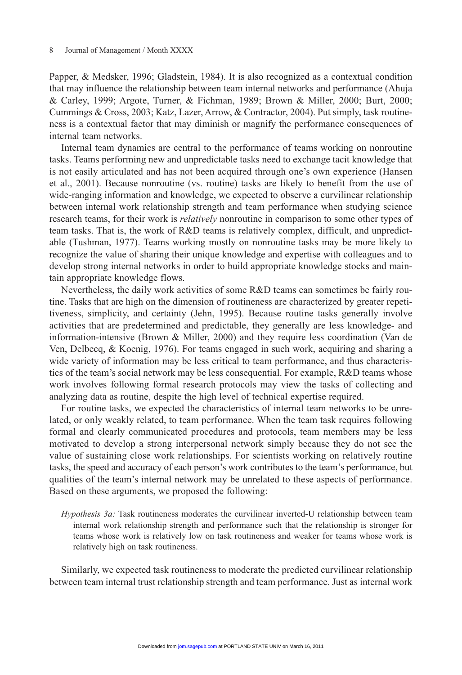Papper, & Medsker, 1996; Gladstein, 1984). It is also recognized as a contextual condition that may influence the relationship between team internal networks and performance (Ahuja & Carley, 1999; Argote, Turner, & Fichman, 1989; Brown & Miller, 2000; Burt, 2000; Cummings & Cross, 2003; Katz, Lazer, Arrow, & Contractor, 2004). Put simply, task routineness is a contextual factor that may diminish or magnify the performance consequences of internal team networks.

Internal team dynamics are central to the performance of teams working on nonroutine tasks. Teams performing new and unpredictable tasks need to exchange tacit knowledge that is not easily articulated and has not been acquired through one's own experience (Hansen et al., 2001). Because nonroutine (vs. routine) tasks are likely to benefit from the use of wide-ranging information and knowledge, we expected to observe a curvilinear relationship between internal work relationship strength and team performance when studying science research teams, for their work is *relatively* nonroutine in comparison to some other types of team tasks. That is, the work of R&D teams is relatively complex, difficult, and unpredictable (Tushman, 1977). Teams working mostly on nonroutine tasks may be more likely to recognize the value of sharing their unique knowledge and expertise with colleagues and to develop strong internal networks in order to build appropriate knowledge stocks and maintain appropriate knowledge flows.

Nevertheless, the daily work activities of some R&D teams can sometimes be fairly routine. Tasks that are high on the dimension of routineness are characterized by greater repetitiveness, simplicity, and certainty (Jehn, 1995). Because routine tasks generally involve activities that are predetermined and predictable, they generally are less knowledge- and information-intensive (Brown & Miller, 2000) and they require less coordination (Van de Ven, Delbecq, & Koenig, 1976). For teams engaged in such work, acquiring and sharing a wide variety of information may be less critical to team performance, and thus characteristics of the team's social network may be less consequential. For example, R&D teams whose work involves following formal research protocols may view the tasks of collecting and analyzing data as routine, despite the high level of technical expertise required.

For routine tasks, we expected the characteristics of internal team networks to be unrelated, or only weakly related, to team performance. When the team task requires following formal and clearly communicated procedures and protocols, team members may be less motivated to develop a strong interpersonal network simply because they do not see the value of sustaining close work relationships. For scientists working on relatively routine tasks, the speed and accuracy of each person's work contributes to the team's performance, but qualities of the team's internal network may be unrelated to these aspects of performance. Based on these arguments, we proposed the following:

*Hypothesis 3a:* Task routineness moderates the curvilinear inverted-U relationship between team internal work relationship strength and performance such that the relationship is stronger for teams whose work is relatively low on task routineness and weaker for teams whose work is relatively high on task routineness.

Similarly, we expected task routineness to moderate the predicted curvilinear relationship between team internal trust relationship strength and team performance. Just as internal work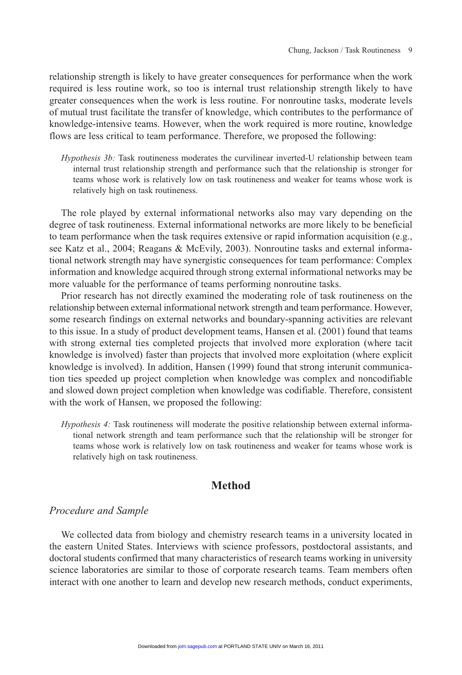relationship strength is likely to have greater consequences for performance when the work required is less routine work, so too is internal trust relationship strength likely to have greater consequences when the work is less routine. For nonroutine tasks, moderate levels of mutual trust facilitate the transfer of knowledge, which contributes to the performance of knowledge-intensive teams. However, when the work required is more routine, knowledge flows are less critical to team performance. Therefore, we proposed the following:

*Hypothesis 3b:* Task routineness moderates the curvilinear inverted-U relationship between team internal trust relationship strength and performance such that the relationship is stronger for teams whose work is relatively low on task routineness and weaker for teams whose work is relatively high on task routineness.

The role played by external informational networks also may vary depending on the degree of task routineness. External informational networks are more likely to be beneficial to team performance when the task requires extensive or rapid information acquisition (e.g., see Katz et al., 2004; Reagans & McEvily, 2003). Nonroutine tasks and external informational network strength may have synergistic consequences for team performance: Complex information and knowledge acquired through strong external informational networks may be more valuable for the performance of teams performing nonroutine tasks.

Prior research has not directly examined the moderating role of task routineness on the relationship between external informational network strength and team performance. However, some research findings on external networks and boundary-spanning activities are relevant to this issue. In a study of product development teams, Hansen et al. (2001) found that teams with strong external ties completed projects that involved more exploration (where tacit knowledge is involved) faster than projects that involved more exploitation (where explicit knowledge is involved). In addition, Hansen (1999) found that strong interunit communication ties speeded up project completion when knowledge was complex and noncodifiable and slowed down project completion when knowledge was codifiable. Therefore, consistent with the work of Hansen, we proposed the following:

*Hypothesis 4:* Task routineness will moderate the positive relationship between external informational network strength and team performance such that the relationship will be stronger for teams whose work is relatively low on task routineness and weaker for teams whose work is relatively high on task routineness.

# **Method**

# *Procedure and Sample*

We collected data from biology and chemistry research teams in a university located in the eastern United States. Interviews with science professors, postdoctoral assistants, and doctoral students confirmed that many characteristics of research teams working in university science laboratories are similar to those of corporate research teams. Team members often interact with one another to learn and develop new research methods, conduct experiments,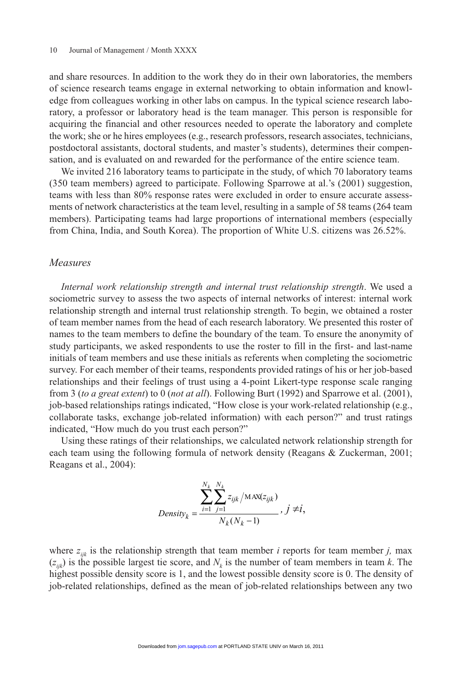and share resources. In addition to the work they do in their own laboratories, the members of science research teams engage in external networking to obtain information and knowledge from colleagues working in other labs on campus. In the typical science research laboratory, a professor or laboratory head is the team manager. This person is responsible for acquiring the financial and other resources needed to operate the laboratory and complete the work; she or he hires employees (e.g., research professors, research associates, technicians, postdoctoral assistants, doctoral students, and master's students), determines their compensation, and is evaluated on and rewarded for the performance of the entire science team.

We invited 216 laboratory teams to participate in the study, of which 70 laboratory teams (350 team members) agreed to participate. Following Sparrowe at al.'s (2001) suggestion, teams with less than 80% response rates were excluded in order to ensure accurate assessments of network characteristics at the team level, resulting in a sample of 58 teams (264 team members). Participating teams had large proportions of international members (especially from China, India, and South Korea). The proportion of White U.S. citizens was 26.52%.

## *Measures*

*Internal work relationship strength and internal trust relationship strength*. We used a sociometric survey to assess the two aspects of internal networks of interest: internal work relationship strength and internal trust relationship strength. To begin, we obtained a roster of team member names from the head of each research laboratory. We presented this roster of names to the team members to define the boundary of the team. To ensure the anonymity of study participants, we asked respondents to use the roster to fill in the first- and last-name initials of team members and use these initials as referents when completing the sociometric survey. For each member of their teams, respondents provided ratings of his or her job-based relationships and their feelings of trust using a 4-point Likert-type response scale ranging from 3 (*to a great extent*) to 0 (*not at all*). Following Burt (1992) and Sparrowe et al. (2001), job-based relationships ratings indicated, "How close is your work-related relationship (e.g., collaborate tasks, exchange job-related information) with each person?" and trust ratings indicated, "How much do you trust each person?"

Using these ratings of their relationships, we calculated network relationship strength for each team using the following formula of network density (Reagans & Zuckerman, 2001; Reagans et al., 2004):

$$
Density_{k} = \frac{\sum_{i=1}^{N_{k}} \sum_{j=1}^{N_{k}} z_{ijk} / \text{MAX}(z_{ijk})}{N_{k}(N_{k}-1)}, j \neq i,
$$

where  $z_{ijk}$  is the relationship strength that team member *i* reports for team member *j*, max  $(z_{ijk})$  is the possible largest tie score, and  $N_k$  is the number of team members in team k. The highest possible density score is 1, and the lowest possible density score is 0. The density of job-related relationships, defined as the mean of job-related relationships between any two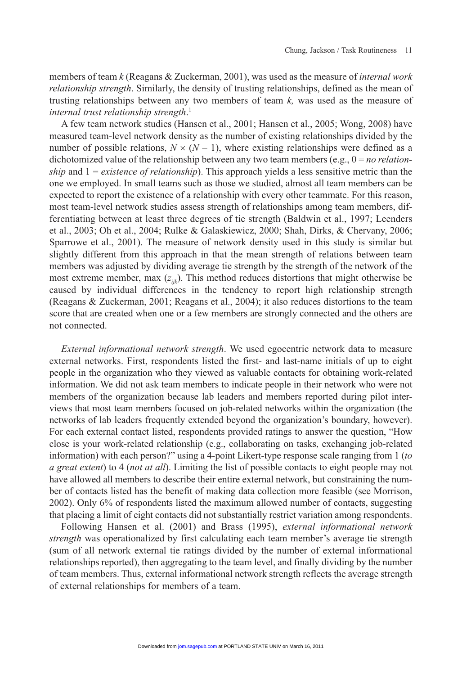members of team *k* (Reagans & Zuckerman, 2001), was used as the measure of *internal work relationship strength*. Similarly, the density of trusting relationships, defined as the mean of trusting relationships between any two members of team *k,* was used as the measure of *internal trust relationship strength*. 1

a few team network studies (Hansen et al., 2001; Hansen et al., 2005; Wong, 2008) have measured team-level network density as the number of existing relationships divided by the number of possible relations,  $N \times (N-1)$ , where existing relationships were defined as a dichotomized value of the relationship between any two team members (e.g., 0 = *no relationship* and 1 = *existence of relationship*). This approach yields a less sensitive metric than the one we employed. In small teams such as those we studied, almost all team members can be expected to report the existence of a relationship with every other teammate. For this reason, most team-level network studies assess strength of relationships among team members, differentiating between at least three degrees of tie strength (Baldwin et al., 1997; Leenders et al., 2003; Oh et al., 2004; Rulke & Galaskiewicz, 2000; Shah, Dirks, & Chervany, 2006; Sparrowe et al., 2001). The measure of network density used in this study is similar but slightly different from this approach in that the mean strength of relations between team members was adjusted by dividing average tie strength by the strength of the network of the most extreme member, max  $(z_{ijk})$ . This method reduces distortions that might otherwise be caused by individual differences in the tendency to report high relationship strength (Reagans & Zuckerman, 2001; Reagans et al., 2004); it also reduces distortions to the team score that are created when one or a few members are strongly connected and the others are not connected.

*External informational network strength*. We used egocentric network data to measure external networks. First, respondents listed the first- and last-name initials of up to eight people in the organization who they viewed as valuable contacts for obtaining work-related information. We did not ask team members to indicate people in their network who were not members of the organization because lab leaders and members reported during pilot interviews that most team members focused on job-related networks within the organization (the networks of lab leaders frequently extended beyond the organization's boundary, however). For each external contact listed, respondents provided ratings to answer the question, "How close is your work-related relationship (e.g., collaborating on tasks, exchanging job-related information) with each person?" using a 4-point Likert-type response scale ranging from 1 (*to a great extent*) to 4 (*not at all*). Limiting the list of possible contacts to eight people may not have allowed all members to describe their entire external network, but constraining the number of contacts listed has the benefit of making data collection more feasible (see Morrison, 2002). Only 6% of respondents listed the maximum allowed number of contacts, suggesting that placing a limit of eight contacts did not substantially restrict variation among respondents.

Following Hansen et al. (2001) and Brass (1995), *external informational network strength* was operationalized by first calculating each team member's average tie strength (sum of all network external tie ratings divided by the number of external informational relationships reported), then aggregating to the team level, and finally dividing by the number of team members. Thus, external informational network strength reflects the average strength of external relationships for members of a team.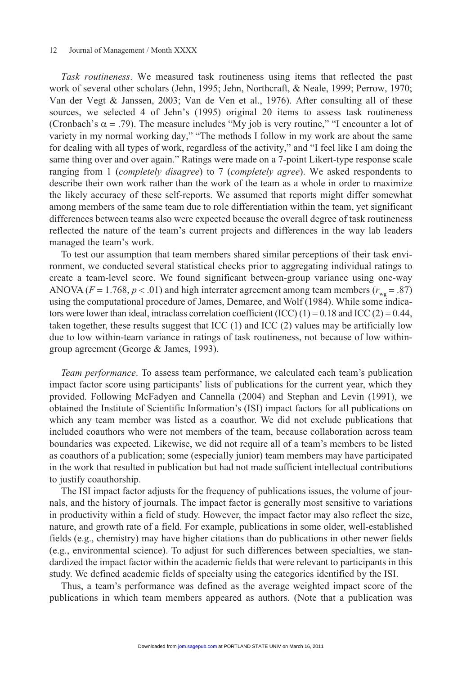### 12 Journal of Management / Month XXXX

*Task routineness*. We measured task routineness using items that reflected the past work of several other scholars (Jehn, 1995; Jehn, Northcraft, & Neale, 1999; Perrow, 1970; Van der Vegt & Janssen, 2003; Van de Ven et al., 1976). After consulting all of these sources, we selected 4 of Jehn's (1995) original 20 items to assess task routineness (Cronbach's  $\alpha$  = .79). The measure includes "My job is very routine," "I encounter a lot of variety in my normal working day," "The methods I follow in my work are about the same for dealing with all types of work, regardless of the activity," and "I feel like I am doing the same thing over and over again." Ratings were made on a 7-point Likert-type response scale ranging from 1 (*completely disagree*) to 7 (*completely agree*). We asked respondents to describe their own work rather than the work of the team as a whole in order to maximize the likely accuracy of these self-reports. We assumed that reports might differ somewhat among members of the same team due to role differentiation within the team, yet significant differences between teams also were expected because the overall degree of task routineness reflected the nature of the team's current projects and differences in the way lab leaders managed the team's work.

To test our assumption that team members shared similar perceptions of their task environment, we conducted several statistical checks prior to aggregating individual ratings to create a team-level score. We found significant between-group variance using one-way ANOVA ( $F = 1.768$ ,  $p < .01$ ) and high interrater agreement among team members ( $r_{wg} = .87$ ) using the computational procedure of James, Demaree, and Wolf (1984). While some indicators were lower than ideal, intraclass correlation coefficient (ICC)  $(1) = 0.18$  and ICC  $(2) = 0.44$ , taken together, these results suggest that ICC  $(1)$  and ICC  $(2)$  values may be artificially low due to low within-team variance in ratings of task routineness, not because of low withingroup agreement (George & James, 1993).

*Team performance*. To assess team performance, we calculated each team's publication impact factor score using participants' lists of publications for the current year, which they provided. Following McFadyen and Cannella (2004) and Stephan and Levin (1991), we obtained the Institute of Scientific Information's (ISI) impact factors for all publications on which any team member was listed as a coauthor. We did not exclude publications that included coauthors who were not members of the team, because collaboration across team boundaries was expected. Likewise, we did not require all of a team's members to be listed as coauthors of a publication; some (especially junior) team members may have participated in the work that resulted in publication but had not made sufficient intellectual contributions to justify coauthorship.

The ISI impact factor adjusts for the frequency of publications issues, the volume of journals, and the history of journals. The impact factor is generally most sensitive to variations in productivity within a field of study. However, the impact factor may also reflect the size, nature, and growth rate of a field. For example, publications in some older, well-established fields (e.g., chemistry) may have higher citations than do publications in other newer fields (e.g., environmental science). To adjust for such differences between specialties, we standardized the impact factor within the academic fields that were relevant to participants in this study. We defined academic fields of specialty using the categories identified by the ISI.

Thus, a team's performance was defined as the average weighted impact score of the publications in which team members appeared as authors. (Note that a publication was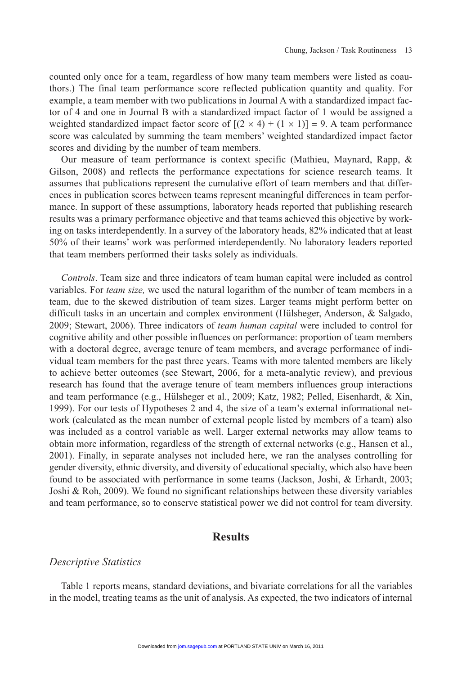counted only once for a team, regardless of how many team members were listed as coauthors.) The final team performance score reflected publication quantity and quality. For example, a team member with two publications in Journal A with a standardized impact factor of 4 and one in Journal B with a standardized impact factor of 1 would be assigned a weighted standardized impact factor score of  $[(2 \times 4) + (1 \times 1)] = 9$ . A team performance score was calculated by summing the team members' weighted standardized impact factor scores and dividing by the number of team members.

Our measure of team performance is context specific (Mathieu, Maynard, Rapp, & Gilson, 2008) and reflects the performance expectations for science research teams. It assumes that publications represent the cumulative effort of team members and that differences in publication scores between teams represent meaningful differences in team performance. In support of these assumptions, laboratory heads reported that publishing research results was a primary performance objective and that teams achieved this objective by working on tasks interdependently. In a survey of the laboratory heads, 82% indicated that at least 50% of their teams' work was performed interdependently. No laboratory leaders reported that team members performed their tasks solely as individuals.

*Controls*. Team size and three indicators of team human capital were included as control variables. For *team size,* we used the natural logarithm of the number of team members in a team, due to the skewed distribution of team sizes. Larger teams might perform better on difficult tasks in an uncertain and complex environment (Hülsheger, Anderson, & Salgado, 2009; Stewart, 2006). Three indicators of *team human capital* were included to control for cognitive ability and other possible influences on performance: proportion of team members with a doctoral degree, average tenure of team members, and average performance of individual team members for the past three years. Teams with more talented members are likely to achieve better outcomes (see Stewart, 2006, for a meta-analytic review), and previous research has found that the average tenure of team members influences group interactions and team performance (e.g., Hülsheger et al., 2009; Katz, 1982; Pelled, Eisenhardt, & Xin, 1999). For our tests of Hypotheses 2 and 4, the size of a team's external informational network (calculated as the mean number of external people listed by members of a team) also was included as a control variable as well. Larger external networks may allow teams to obtain more information, regardless of the strength of external networks (e.g., Hansen et al., 2001). Finally, in separate analyses not included here, we ran the analyses controlling for gender diversity, ethnic diversity, and diversity of educational specialty, which also have been found to be associated with performance in some teams (Jackson, Joshi, & Erhardt, 2003; Joshi & Roh, 2009). We found no significant relationships between these diversity variables and team performance, so to conserve statistical power we did not control for team diversity.

# **Results**

### *Descriptive Statistics*

Table 1 reports means, standard deviations, and bivariate correlations for all the variables in the model, treating teams as the unit of analysis. As expected, the two indicators of internal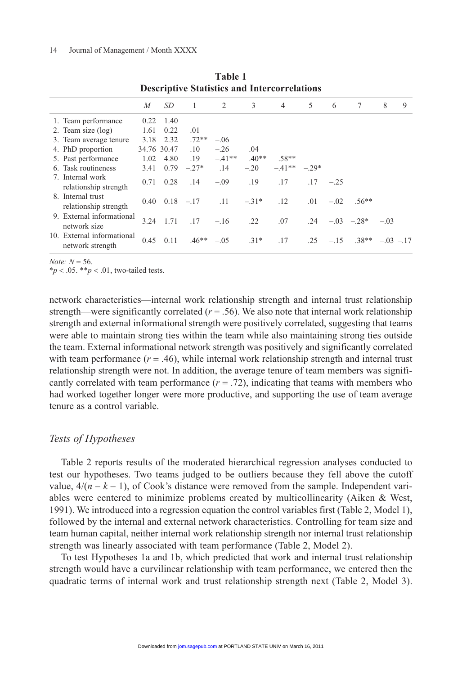### 14 Journal of Management / Month XXXX

|                                                |      |                             |         |         | Descriptive Statistics and filter correlations |                |     |        |               |               |   |
|------------------------------------------------|------|-----------------------------|---------|---------|------------------------------------------------|----------------|-----|--------|---------------|---------------|---|
|                                                | M    | SD                          |         | 2       | 3                                              | $\overline{4}$ | 5   | 6      | 7             | 8             | 9 |
| 1. Team performance                            | 0.22 | 1.40                        |         |         |                                                |                |     |        |               |               |   |
| 2. Team size (log)                             | 1.61 | 0.22                        | .01     |         |                                                |                |     |        |               |               |   |
| 3. Team average tenure                         | 3.18 | 2.32                        | $.72**$ | $-.06$  |                                                |                |     |        |               |               |   |
| 4. PhD proportion                              |      | 34.76 30.47                 | .10     | $-.26$  | .04                                            |                |     |        |               |               |   |
| 5. Past performance                            | 1.02 | 4.80                        | .19     | $-41**$ | $.40**$                                        | $.58**$        |     |        |               |               |   |
| 6. Task routineness                            | 3.41 | 0.79                        | $-.27*$ | .14     | $-.20$                                         | $-41** - 29*$  |     |        |               |               |   |
| 7. Internal work<br>relationship strength      | 0.71 | 0.28                        | .14     | $-.09$  | .19                                            | .17            | .17 | $-.25$ |               |               |   |
| 8. Internal trust<br>relationship strength     |      | $0.40 \quad 0.18 \quad -17$ |         | .11     | $-.31*$                                        | .12            | .01 | $-.02$ | $.56**$       |               |   |
| 9. External informational<br>network size      | 3.24 | 1.71                        | .17     | $-.16$  | .22                                            | .07            | .24 |        | $-.03 - .28*$ | $-.03$        |   |
| 10. External informational<br>network strength | 0.45 | 0.11                        | $.46**$ | $-.05$  | $.31*$                                         | .17            | .25 | $-.15$ | $.38**$       | $-.03$ $-.17$ |   |

**Table 1 Descriptive Statistics and Intercorrelations**

*Note: N* = 56.

 $*_{p}$  < .05. \*\**p* < .01, two-tailed tests.

network characteristics—internal work relationship strength and internal trust relationship strength—were significantly correlated  $(r = .56)$ . We also note that internal work relationship strength and external informational strength were positively correlated, suggesting that teams were able to maintain strong ties within the team while also maintaining strong ties outside the team. External informational network strength was positively and significantly correlated with team performance  $(r = .46)$ , while internal work relationship strength and internal trust relationship strength were not. In addition, the average tenure of team members was significantly correlated with team performance  $(r = .72)$ , indicating that teams with members who had worked together longer were more productive, and supporting the use of team average tenure as a control variable.

# *Tests of Hypotheses*

Table 2 reports results of the moderated hierarchical regression analyses conducted to test our hypotheses. Two teams judged to be outliers because they fell above the cutoff value,  $4/(n - k - 1)$ , of Cook's distance were removed from the sample. Independent variables were centered to minimize problems created by multicollinearity (Aiken & West, 1991). We introduced into a regression equation the control variables first (Table 2, Model 1), followed by the internal and external network characteristics. Controlling for team size and team human capital, neither internal work relationship strength nor internal trust relationship strength was linearly associated with team performance (Table 2, Model 2).

To test Hypotheses 1a and 1b, which predicted that work and internal trust relationship strength would have a curvilinear relationship with team performance, we entered then the quadratic terms of internal work and trust relationship strength next (Table 2, Model 3).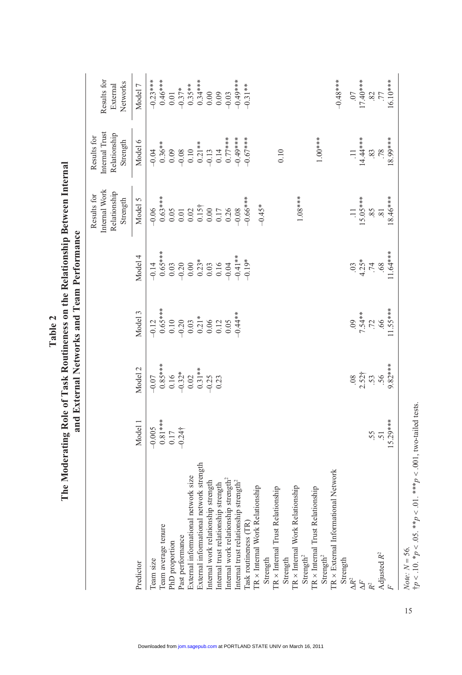|                                                                                                                                                                                                                                                                                                                                                                                                                                                                                                                                                                                                                                                        |                                                                                           | and External Networks and Team Performance                                                                  |                                                                                                              |                      |                                                                                                                                        |                                                           |                                                                                                                                             |
|--------------------------------------------------------------------------------------------------------------------------------------------------------------------------------------------------------------------------------------------------------------------------------------------------------------------------------------------------------------------------------------------------------------------------------------------------------------------------------------------------------------------------------------------------------------------------------------------------------------------------------------------------------|-------------------------------------------------------------------------------------------|-------------------------------------------------------------------------------------------------------------|--------------------------------------------------------------------------------------------------------------|----------------------|----------------------------------------------------------------------------------------------------------------------------------------|-----------------------------------------------------------|---------------------------------------------------------------------------------------------------------------------------------------------|
|                                                                                                                                                                                                                                                                                                                                                                                                                                                                                                                                                                                                                                                        |                                                                                           |                                                                                                             |                                                                                                              |                      | Internal Work<br>Relationship<br>Results for<br>Strength                                                                               | Internal Trust<br>Relationship<br>Results for<br>Strength | Results for<br>Networks<br>External                                                                                                         |
| Predictor                                                                                                                                                                                                                                                                                                                                                                                                                                                                                                                                                                                                                                              | Model 1                                                                                   | Model 2                                                                                                     | Model 3                                                                                                      | Model 4              | Model 5                                                                                                                                | Model 6                                                   | Model 7                                                                                                                                     |
| External informational network strength<br>External informational network size<br>Internal work relationship strength <sup>2</sup><br>p strength <sup>2</sup><br>Internal work relationship strength<br>Internal trust relationship strength<br>I'R × Internal Work Relationship<br>$\text{TR} \times \text{Internal Work Relationship}$ Strength <sup>2</sup><br>$\operatorname{TR}\times\operatorname{Internal}$ Trust Relationship Strength<br>TR × Internal Trust Relationship<br>Internal trust relationshi<br>Task routineness (TR)<br>Team average tenure<br>Past performance<br>PhD proportion<br>Strength<br>$\mbox{Strength}^2$<br>Team size | $\begin{array}{c}\n 0.81*** \\  0.17 \\  \hline\n -0.24\dagger\n \end{array}$<br>$-0.005$ | $0.85***$<br>$0.16$<br>$0.32$ <sup>*</sup><br>$0.02$<br>$0.31$ <sup>**</sup><br>$0.23$<br>$0.23$<br>$-0.07$ | $-12$<br>$-0.65$ ***<br>$-0.10$<br>$-0.03$<br>$-0.03$<br>$-0.06$<br>$-0.06$<br>$-0.44**$<br>$0.12$<br>$0.05$ |                      | $-0.06$<br>$+0.03$<br>$-0.05$<br>$-0.05$<br>$-0.05$<br>$-0.05$<br>$-0.05$<br>$-0.05$<br>$-0.08$<br>$1.08***$<br>$-0.66***$<br>$-0.45*$ | $1.00***$<br>0.10                                         | $-0.23***$<br>$0.46***$<br>$-0.37$ *<br>$0.35$ ***<br>$0.34$ ***<br>$0.000$<br>$0.000$<br>$0.000$<br>$-0.49$ ***<br>$-0.49$ ***<br>$0.01\,$ |
| TR × External Informational Network                                                                                                                                                                                                                                                                                                                                                                                                                                                                                                                                                                                                                    |                                                                                           |                                                                                                             |                                                                                                              |                      |                                                                                                                                        |                                                           | $-0.48***$                                                                                                                                  |
| Strength $\Delta R^2$                                                                                                                                                                                                                                                                                                                                                                                                                                                                                                                                                                                                                                  |                                                                                           | $\overline{0}$                                                                                              | $\overline{0}$                                                                                               | 03                   | $\equiv$                                                                                                                               | $\equiv$                                                  | $\overline{C}$                                                                                                                              |
| $\Delta\!F$                                                                                                                                                                                                                                                                                                                                                                                                                                                                                                                                                                                                                                            | 55.                                                                                       | $2.52\dagger$<br>53<br>56                                                                                   | $7.54***$<br>$\dot{\mathcal{L}}$                                                                             | $4.25*$<br>$\vec{r}$ | $15.05***$<br>85                                                                                                                       | $14.44***$<br>.83                                         | $17.40***$<br>$82\,$                                                                                                                        |
| Adjusted $R^2$ $\cal F$                                                                                                                                                                                                                                                                                                                                                                                                                                                                                                                                                                                                                                | $15.29***$<br>$\overline{5}$                                                              | 9.82 ***                                                                                                    | $1.55***$<br>.66                                                                                             | $1.64***$<br>.68     | $18.46***$<br>$\sim$                                                                                                                   | $18.99***$<br>$.78\,$                                     | $16.10***$<br>$.77\,$                                                                                                                       |

The Moderating Role of Task Routineness on the Relationship Between Internal<br>and External Networks and Team Performance **The Moderating Role of Task Routineness on the Relationship Between Internal and External Networks and Team Performance Table 2**

*Note: N* = 56. †*p* < .10. \**p* < .05. \*\**p* < .01. \*\*\**p* < .001, two-tailed tests.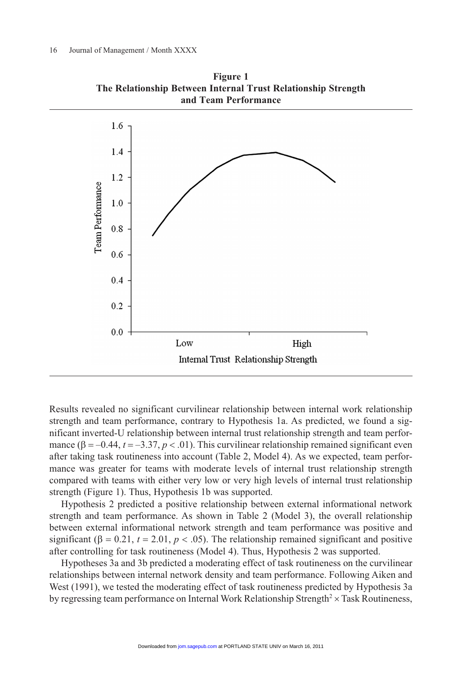

**Figure 1 The Relationship Between Internal Trust Relationship Strength and Team Performance**

Results revealed no significant curvilinear relationship between internal work relationship strength and team performance, contrary to Hypothesis 1a. As predicted, we found a significant inverted-U relationship between internal trust relationship strength and team performance  $(\beta = -0.44, t = -3.37, p < .01)$ . This curvilinear relationship remained significant even after taking task routineness into account (Table 2, Model 4). As we expected, team performance was greater for teams with moderate levels of internal trust relationship strength compared with teams with either very low or very high levels of internal trust relationship strength (Figure 1). Thus, Hypothesis 1b was supported.

Hypothesis 2 predicted a positive relationship between external informational network strength and team performance. As shown in Table 2 (Model 3), the overall relationship between external informational network strength and team performance was positive and significant ( $\beta = 0.21$ ,  $t = 2.01$ ,  $p < .05$ ). The relationship remained significant and positive after controlling for task routineness (Model 4). Thus, Hypothesis 2 was supported.

Hypotheses 3a and 3b predicted a moderating effect of task routineness on the curvilinear relationships between internal network density and team performance. Following Aiken and West (1991), we tested the moderating effect of task routineness predicted by Hypothesis 3a by regressing team performance on Internal Work Relationship Strength<sup>2</sup>  $\times$  Task Routineness,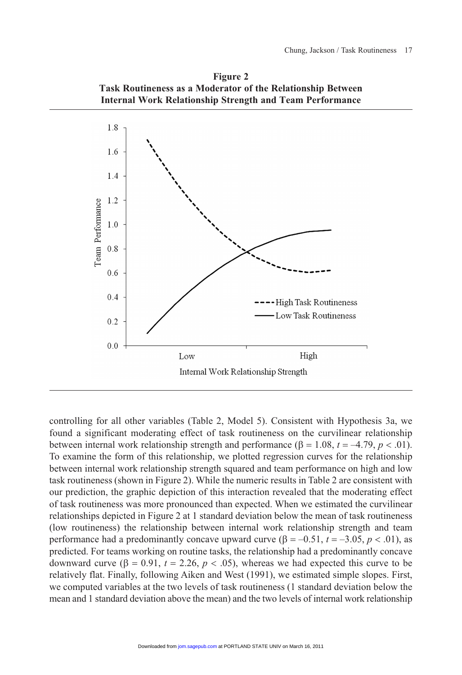



controlling for all other variables (Table 2, Model 5). Consistent with Hypothesis 3a, we found a significant moderating effect of task routineness on the curvilinear relationship between internal work relationship strength and performance  $(\beta = 1.08, t = -4.79, p < .01)$ . To examine the form of this relationship, we plotted regression curves for the relationship between internal work relationship strength squared and team performance on high and low task routineness (shown in Figure 2). While the numeric results in Table 2 are consistent with our prediction, the graphic depiction of this interaction revealed that the moderating effect of task routineness was more pronounced than expected. When we estimated the curvilinear relationships depicted in Figure 2 at 1 standard deviation below the mean of task routineness (low routineness) the relationship between internal work relationship strength and team performance had a predominantly concave upward curve  $(\beta = -0.51, t = -3.05, p < .01)$ , as predicted. For teams working on routine tasks, the relationship had a predominantly concave downward curve  $(\beta = 0.91, t = 2.26, p < .05)$ , whereas we had expected this curve to be relatively flat. Finally, following Aiken and West (1991), we estimated simple slopes. First, we computed variables at the two levels of task routineness (1 standard deviation below the mean and 1 standard deviation above the mean) and the two levels of internal work relationship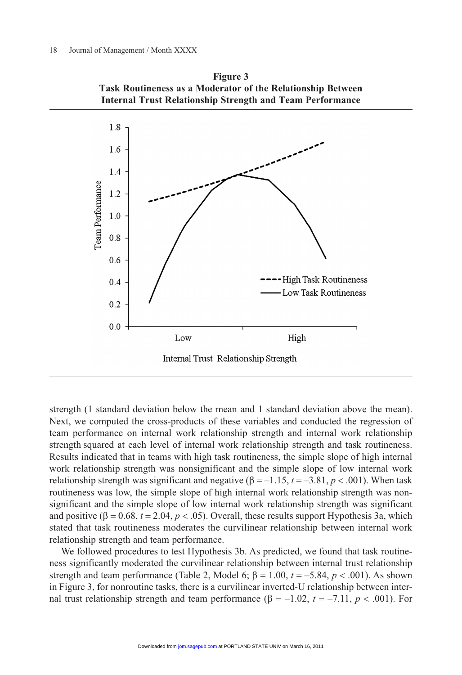

**Figure 3 Task Routineness as a Moderator of the Relationship Between Internal Trust Relationship Strength and Team Performance**

strength (1 standard deviation below the mean and 1 standard deviation above the mean). Next, we computed the cross-products of these variables and conducted the regression of team performance on internal work relationship strength and internal work relationship strength squared at each level of internal work relationship strength and task routineness. Results indicated that in teams with high task routineness, the simple slope of high internal work relationship strength was nonsignificant and the simple slope of low internal work relationship strength was significant and negative  $(\beta = -1.15, t = -3.81, p < .001)$ . When task routineness was low, the simple slope of high internal work relationship strength was nonsignificant and the simple slope of low internal work relationship strength was significant and positive ( $\beta = 0.68$ ,  $t = 2.04$ ,  $p < .05$ ). Overall, these results support Hypothesis 3a, which stated that task routineness moderates the curvilinear relationship between internal work relationship strength and team performance.

We followed procedures to test Hypothesis 3b. As predicted, we found that task routineness significantly moderated the curvilinear relationship between internal trust relationship strength and team performance (Table 2, Model 6;  $\beta = 1.00$ ,  $t = -5.84$ ,  $p < .001$ ). As shown in Figure 3, for nonroutine tasks, there is a curvilinear inverted-U relationship between internal trust relationship strength and team performance  $(\beta = -1.02, t = -7.11, p < .001)$ . For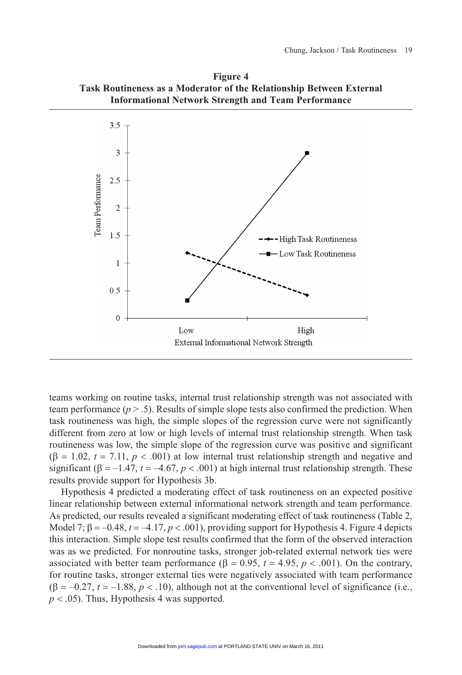

**Figure 4 Task Routineness as a Moderator of the Relationship Between External Informational Network Strength and Team Performance**

teams working on routine tasks, internal trust relationship strength was not associated with team performance  $(p > .5)$ . Results of simple slope tests also confirmed the prediction. When task routineness was high, the simple slopes of the regression curve were not significantly different from zero at low or high levels of internal trust relationship strength. When task routineness was low, the simple slope of the regression curve was positive and significant  $(\beta = 1.02, t = 7.11, p < .001)$  at low internal trust relationship strength and negative and significant ( $\beta = -1.47$ ,  $t = -4.67$ ,  $p < .001$ ) at high internal trust relationship strength. These results provide support for Hypothesis 3b.

Hypothesis 4 predicted a moderating effect of task routineness on an expected positive linear relationship between external informational network strength and team performance. As predicted, our results revealed a significant moderating effect of task routineness (Table 2, Model 7;  $\beta = -0.48$ ,  $t = -4.17$ ,  $p < .001$ ), providing support for Hypothesis 4. Figure 4 depicts this interaction. Simple slope test results confirmed that the form of the observed interaction was as we predicted. For nonroutine tasks, stronger job-related external network ties were associated with better team performance  $(\beta = 0.95, t = 4.95, p < .001)$ . On the contrary, for routine tasks, stronger external ties were negatively associated with team performance  $(\beta = -0.27, t = -1.88, p < .10)$ , although not at the conventional level of significance (i.e.,  $p < .05$ ). Thus, Hypothesis 4 was supported.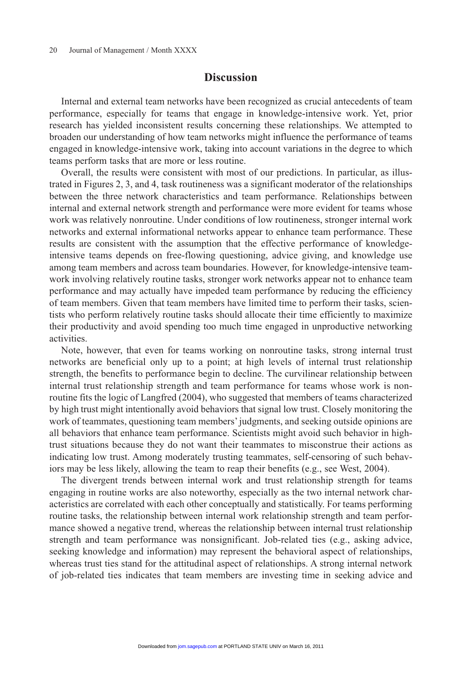# **Discussion**

Internal and external team networks have been recognized as crucial antecedents of team performance, especially for teams that engage in knowledge-intensive work. Yet, prior research has yielded inconsistent results concerning these relationships. We attempted to broaden our understanding of how team networks might influence the performance of teams engaged in knowledge-intensive work, taking into account variations in the degree to which teams perform tasks that are more or less routine.

Overall, the results were consistent with most of our predictions. In particular, as illustrated in Figures 2, 3, and 4, task routineness was a significant moderator of the relationships between the three network characteristics and team performance. Relationships between internal and external network strength and performance were more evident for teams whose work was relatively nonroutine. Under conditions of low routineness, stronger internal work networks and external informational networks appear to enhance team performance. These results are consistent with the assumption that the effective performance of knowledgeintensive teams depends on free-flowing questioning, advice giving, and knowledge use among team members and across team boundaries. However, for knowledge-intensive teamwork involving relatively routine tasks, stronger work networks appear not to enhance team performance and may actually have impeded team performance by reducing the efficiency of team members. Given that team members have limited time to perform their tasks, scientists who perform relatively routine tasks should allocate their time efficiently to maximize their productivity and avoid spending too much time engaged in unproductive networking activities.

Note, however, that even for teams working on nonroutine tasks, strong internal trust networks are beneficial only up to a point; at high levels of internal trust relationship strength, the benefits to performance begin to decline. The curvilinear relationship between internal trust relationship strength and team performance for teams whose work is nonroutine fits the logic of Langfred (2004), who suggested that members of teams characterized by high trust might intentionally avoid behaviors that signal low trust. Closely monitoring the work of teammates, questioning team members' judgments, and seeking outside opinions are all behaviors that enhance team performance. Scientists might avoid such behavior in hightrust situations because they do not want their teammates to misconstrue their actions as indicating low trust. Among moderately trusting teammates, self-censoring of such behaviors may be less likely, allowing the team to reap their benefits (e.g., see West, 2004).

The divergent trends between internal work and trust relationship strength for teams engaging in routine works are also noteworthy, especially as the two internal network characteristics are correlated with each other conceptually and statistically. For teams performing routine tasks, the relationship between internal work relationship strength and team performance showed a negative trend, whereas the relationship between internal trust relationship strength and team performance was nonsignificant. Job-related ties (e.g., asking advice, seeking knowledge and information) may represent the behavioral aspect of relationships, whereas trust ties stand for the attitudinal aspect of relationships. A strong internal network of job-related ties indicates that team members are investing time in seeking advice and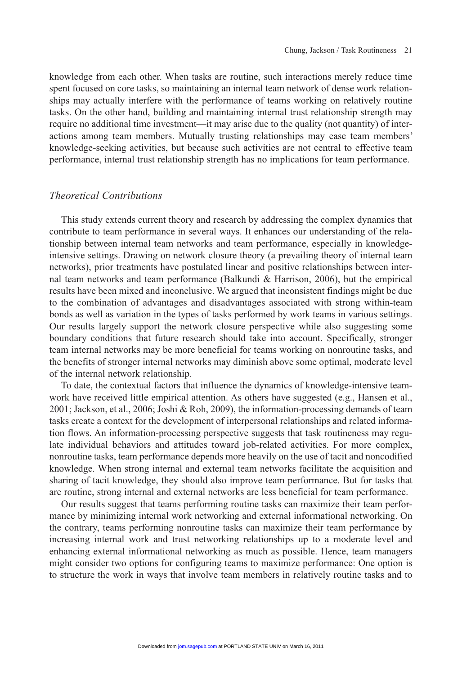knowledge from each other. When tasks are routine, such interactions merely reduce time spent focused on core tasks, so maintaining an internal team network of dense work relationships may actually interfere with the performance of teams working on relatively routine tasks. On the other hand, building and maintaining internal trust relationship strength may require no additional time investment—it may arise due to the quality (not quantity) of interactions among team members. Mutually trusting relationships may ease team members' knowledge-seeking activities, but because such activities are not central to effective team performance, internal trust relationship strength has no implications for team performance.

# *Theoretical Contributions*

This study extends current theory and research by addressing the complex dynamics that contribute to team performance in several ways. It enhances our understanding of the relationship between internal team networks and team performance, especially in knowledgeintensive settings. Drawing on network closure theory (a prevailing theory of internal team networks), prior treatments have postulated linear and positive relationships between internal team networks and team performance (Balkundi & Harrison, 2006), but the empirical results have been mixed and inconclusive. We argued that inconsistent findings might be due to the combination of advantages and disadvantages associated with strong within-team bonds as well as variation in the types of tasks performed by work teams in various settings. Our results largely support the network closure perspective while also suggesting some boundary conditions that future research should take into account. Specifically, stronger team internal networks may be more beneficial for teams working on nonroutine tasks, and the benefits of stronger internal networks may diminish above some optimal, moderate level of the internal network relationship.

To date, the contextual factors that influence the dynamics of knowledge-intensive teamwork have received little empirical attention. As others have suggested (e.g., Hansen et al., 2001; Jackson, et al., 2006; Joshi & Roh, 2009), the information-processing demands of team tasks create a context for the development of interpersonal relationships and related information flows. An information-processing perspective suggests that task routineness may regulate individual behaviors and attitudes toward job-related activities. For more complex, nonroutine tasks, team performance depends more heavily on the use of tacit and noncodified knowledge. When strong internal and external team networks facilitate the acquisition and sharing of tacit knowledge, they should also improve team performance. But for tasks that are routine, strong internal and external networks are less beneficial for team performance.

Our results suggest that teams performing routine tasks can maximize their team performance by minimizing internal work networking and external informational networking. On the contrary, teams performing nonroutine tasks can maximize their team performance by increasing internal work and trust networking relationships up to a moderate level and enhancing external informational networking as much as possible. Hence, team managers might consider two options for configuring teams to maximize performance: One option is to structure the work in ways that involve team members in relatively routine tasks and to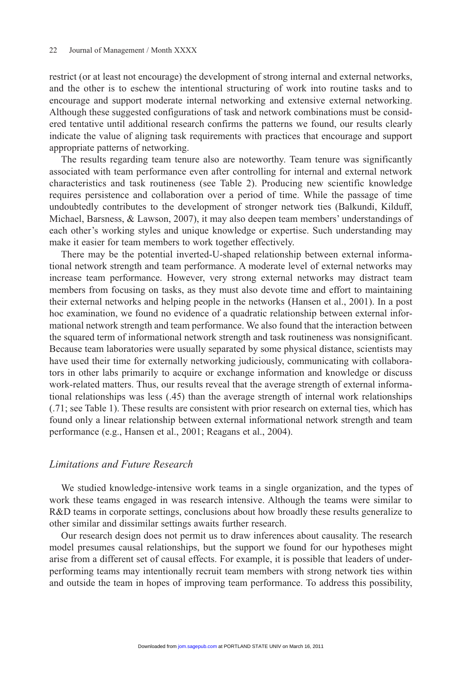restrict (or at least not encourage) the development of strong internal and external networks, and the other is to eschew the intentional structuring of work into routine tasks and to encourage and support moderate internal networking and extensive external networking. Although these suggested configurations of task and network combinations must be considered tentative until additional research confirms the patterns we found, our results clearly indicate the value of aligning task requirements with practices that encourage and support appropriate patterns of networking.

The results regarding team tenure also are noteworthy. Team tenure was significantly associated with team performance even after controlling for internal and external network characteristics and task routineness (see Table 2). Producing new scientific knowledge requires persistence and collaboration over a period of time. While the passage of time undoubtedly contributes to the development of stronger network ties (Balkundi, Kilduff, Michael, Barsness, & Lawson, 2007), it may also deepen team members' understandings of each other's working styles and unique knowledge or expertise. Such understanding may make it easier for team members to work together effectively.

There may be the potential inverted-U-shaped relationship between external informational network strength and team performance. A moderate level of external networks may increase team performance. However, very strong external networks may distract team members from focusing on tasks, as they must also devote time and effort to maintaining their external networks and helping people in the networks (Hansen et al., 2001). In a post hoc examination, we found no evidence of a quadratic relationship between external informational network strength and team performance. We also found that the interaction between the squared term of informational network strength and task routineness was nonsignificant. Because team laboratories were usually separated by some physical distance, scientists may have used their time for externally networking judiciously, communicating with collaborators in other labs primarily to acquire or exchange information and knowledge or discuss work-related matters. Thus, our results reveal that the average strength of external informational relationships was less (.45) than the average strength of internal work relationships (.71; see Table 1). These results are consistent with prior research on external ties, which has found only a linear relationship between external informational network strength and team performance (e.g., Hansen et al., 2001; Reagans et al., 2004).

# *Limitations and Future Research*

We studied knowledge-intensive work teams in a single organization, and the types of work these teams engaged in was research intensive. Although the teams were similar to R&D teams in corporate settings, conclusions about how broadly these results generalize to other similar and dissimilar settings awaits further research.

Our research design does not permit us to draw inferences about causality. The research model presumes causal relationships, but the support we found for our hypotheses might arise from a different set of causal effects. For example, it is possible that leaders of underperforming teams may intentionally recruit team members with strong network ties within and outside the team in hopes of improving team performance. To address this possibility,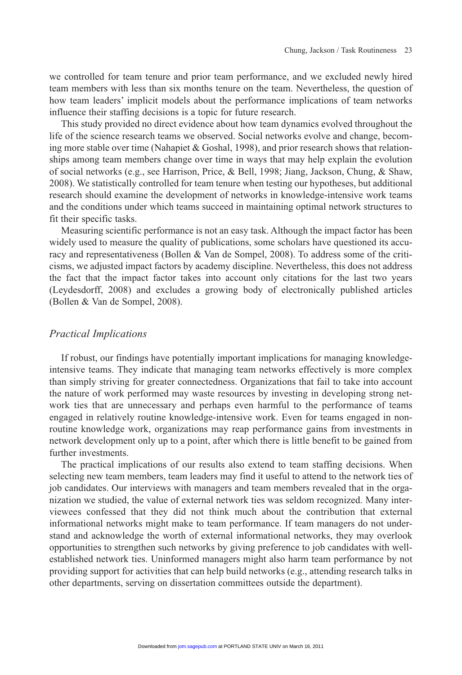we controlled for team tenure and prior team performance, and we excluded newly hired team members with less than six months tenure on the team. Nevertheless, the question of how team leaders' implicit models about the performance implications of team networks influence their staffing decisions is a topic for future research.

This study provided no direct evidence about how team dynamics evolved throughout the life of the science research teams we observed. Social networks evolve and change, becoming more stable over time (Nahapiet  $&$  Goshal, 1998), and prior research shows that relationships among team members change over time in ways that may help explain the evolution of social networks (e.g., see Harrison, Price, & Bell, 1998; Jiang, Jackson, Chung, & Shaw, 2008). We statistically controlled for team tenure when testing our hypotheses, but additional research should examine the development of networks in knowledge-intensive work teams and the conditions under which teams succeed in maintaining optimal network structures to fit their specific tasks.

Measuring scientific performance is not an easy task. Although the impact factor has been widely used to measure the quality of publications, some scholars have questioned its accuracy and representativeness (Bollen & Van de Sompel, 2008). To address some of the criticisms, we adjusted impact factors by academy discipline. Nevertheless, this does not address the fact that the impact factor takes into account only citations for the last two years (Leydesdorff, 2008) and excludes a growing body of electronically published articles (Bollen & Van de Sompel, 2008).

# *Practical Implications*

If robust, our findings have potentially important implications for managing knowledgeintensive teams. They indicate that managing team networks effectively is more complex than simply striving for greater connectedness. Organizations that fail to take into account the nature of work performed may waste resources by investing in developing strong network ties that are unnecessary and perhaps even harmful to the performance of teams engaged in relatively routine knowledge-intensive work. Even for teams engaged in nonroutine knowledge work, organizations may reap performance gains from investments in network development only up to a point, after which there is little benefit to be gained from further investments.

The practical implications of our results also extend to team staffing decisions. When selecting new team members, team leaders may find it useful to attend to the network ties of job candidates. Our interviews with managers and team members revealed that in the organization we studied, the value of external network ties was seldom recognized. Many interviewees confessed that they did not think much about the contribution that external informational networks might make to team performance. If team managers do not understand and acknowledge the worth of external informational networks, they may overlook opportunities to strengthen such networks by giving preference to job candidates with wellestablished network ties. Uninformed managers might also harm team performance by not providing support for activities that can help build networks (e.g., attending research talks in other departments, serving on dissertation committees outside the department).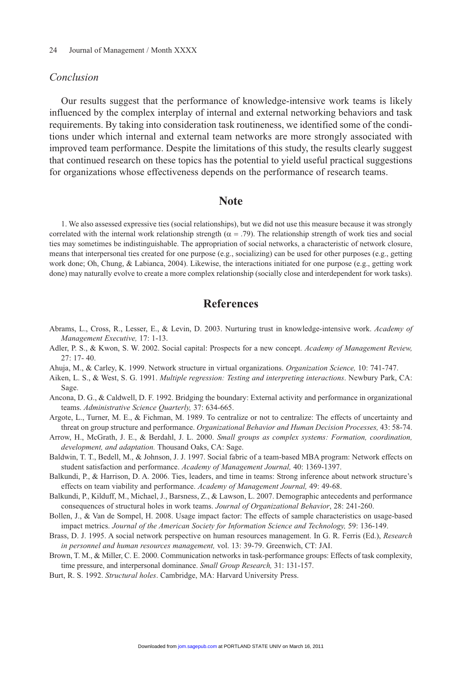### 24 Journal of Management / Month XXXX

### *Conclusion*

Our results suggest that the performance of knowledge-intensive work teams is likely influenced by the complex interplay of internal and external networking behaviors and task requirements. By taking into consideration task routineness, we identified some of the conditions under which internal and external team networks are more strongly associated with improved team performance. Despite the limitations of this study, the results clearly suggest that continued research on these topics has the potential to yield useful practical suggestions for organizations whose effectiveness depends on the performance of research teams.

# **Note**

1. We also assessed expressive ties (social relationships), but we did not use this measure because it was strongly correlated with the internal work relationship strength  $(\alpha = .79)$ . The relationship strength of work ties and social ties may sometimes be indistinguishable. The appropriation of social networks, a characteristic of network closure, means that interpersonal ties created for one purpose (e.g., socializing) can be used for other purposes (e.g., getting work done; Oh, Chung, & Labianca, 2004). Likewise, the interactions initiated for one purpose (e.g., getting work done) may naturally evolve to create a more complex relationship (socially close and interdependent for work tasks).

# **References**

- Abrams, L., Cross, R., Lesser, E., & Levin, D. 2003. Nurturing trust in knowledge-intensive work. *Academy of Management Executive,* 17: 1-13.
- Adler, P. S., & Kwon, S. W. 2002. Social capital: Prospects for a new concept. *Academy of Management Review,* 27: 17- 40.
- Ahuja, M., & Carley, K. 1999. Network structure in virtual organizations. *Organization Science,* 10: 741-747.
- Aiken, L. S., & West, S. G. 1991. *Multiple regression: Testing and interpreting interactions*. Newbury Park, CA: Sage.
- Ancona, D. G., & Caldwell, D. F. 1992. Bridging the boundary: External activity and performance in organizational teams. *Administrative Science Quarterly,* 37: 634-665.
- Argote, L., Turner, M. E., & Fichman, M. 1989. To centralize or not to centralize: The effects of uncertainty and threat on group structure and performance. *Organizational Behavior and Human Decision Processes,* 43: 58-74.
- Arrow, H., McGrath, J. E., & Berdahl, J. L. 2000. *Small groups as complex systems: Formation, coordination, development, and adaptation.* Thousand Oaks, CA: Sage.
- Baldwin, T. T., Bedell, M., & Johnson, J. J. 1997. Social fabric of a team-based MBA program: Network effects on student satisfaction and performance. *Academy of Management Journal,* 40: 1369-1397.
- Balkundi, P., & Harrison, D. A. 2006. Ties, leaders, and time in teams: Strong inference about network structure's effects on team viability and performance. *Academy of Management Journal,* 49: 49-68.
- Balkundi, P., Kilduff, M., Michael, J., Barsness, Z., & Lawson, L. 2007. Demographic antecedents and performance consequences of structural holes in work teams. *Journal of Organizational Behavior*, 28: 241-260.
- Bollen, J., & Van de Sompel, H. 2008. Usage impact factor: The effects of sample characteristics on usage-based impact metrics. *Journal of the American Society for Information Science and Technology,* 59: 136-149.
- Brass, D. J. 1995. A social network perspective on human resources management. In G. R. Ferris (Ed.), *Research in personnel and human resources management,* vol. 13: 39-79. Greenwich, CT: JAI.
- Brown, T. M., & Miller, C. E. 2000. Communication networks in task-performance groups: Effects of task complexity, time pressure, and interpersonal dominance. *Small Group Research,* 31: 131-157.
- Burt, R. S. 1992. *Structural holes*. Cambridge, MA: Harvard University Press.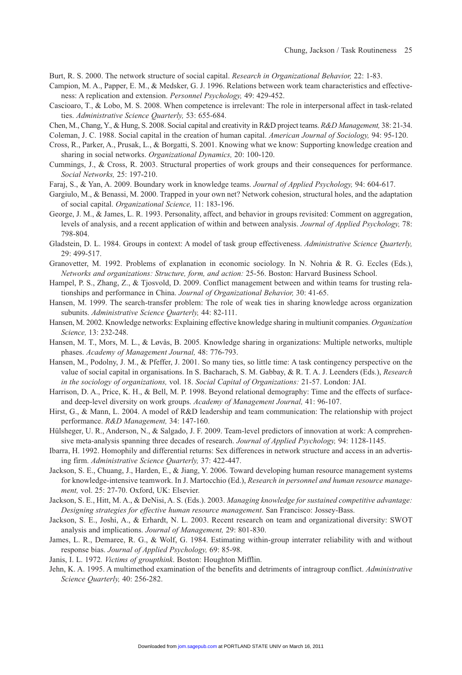Burt, R. S. 2000. The network structure of social capital. *Research in Organizational Behavior,* 22: 1-83.

- Campion, M. A., Papper, E. M., & Medsker, G. J. 1996. Relations between work team characteristics and effectiveness: A replication and extension. *Personnel Psychology,* 49: 429-452.
- Cascioaro, T., & Lobo, M. S. 2008. When competence is irrelevant: The role in interpersonal affect in task-related ties. *Administrative Science Quarterly,* 53: 655-684.
- Chen, M., Chang, Y., & Hung, S. 2008. Social capital and creativity in R&D project teams. *R&D Management,* 38: 21-34.

Coleman, J. C. 1988. Social capital in the creation of human capital. *American Journal of Sociology,* 94: 95-120.

- Cross, R., Parker, A., Prusak, L., & Borgatti, S. 2001. Knowing what we know: Supporting knowledge creation and sharing in social networks. *Organizational Dynamics,* 20: 100-120.
- Cummings, J., & Cross, R. 2003. Structural properties of work groups and their consequences for performance. *Social Networks,* 25: 197-210.
- Faraj, S., & Yan, A. 2009. Boundary work in knowledge teams. *Journal of Applied Psychology,* 94: 604-617.
- Gargiulo, M., & Benassi, M. 2000. Trapped in your own net? Network cohesion, structural holes, and the adaptation of social capital. *Organizational Science,* 11: 183-196.
- George, J. M., & James, L. R. 1993. Personality, affect, and behavior in groups revisited: Comment on aggregation, levels of analysis, and a recent application of within and between analysis. *Journal of Applied Psychology,* 78: 798-804.
- Gladstein, D. L. 1984. Groups in context: A model of task group effectiveness. *Administrative Science Quarterly,* 29: 499-517.
- Granovetter, M. 1992. Problems of explanation in economic sociology. In N. Nohria & R. G. Eccles (Eds.), *Networks and organizations: Structure, form, and action:* 25-56. Boston: Harvard Business School.
- Hampel, P. S., Zhang, Z., & Tjosvold, D. 2009. Conflict management between and within teams for trusting relationships and performance in China. *Journal of Organizational Behavior,* 30: 41-65.
- Hansen, M. 1999. The search-transfer problem: The role of weak ties in sharing knowledge across organization subunits. *Administrative Science Quarterly,* 44: 82-111.
- Hansen, M. 2002. Knowledge networks: Explaining effective knowledge sharing in multiunit companies. *Organization Science,* 13: 232-248.
- Hansen, M. T., Mors, M. L., & Løvås, B. 2005*.* Knowledge sharing in organizations: Multiple networks, multiple phases. *Academy of Management Journal,* 48: 776-793.
- Hansen, M., Podolny, J. M., & Pfeffer, J. 2001. So many ties, so little time: A task contingency perspective on the value of social capital in organisations. In S. Bacharach, S. M. Gabbay, & R. T. A. J. Leenders (Eds.), *Research in the sociology of organizations,* vol. 18. *Social Capital of Organizations:* 21-57. London: JAI.
- Harrison, D. A., Price, K. H., & Bell, M. P. 1998. Beyond relational demography: Time and the effects of surfaceand deep-level diversity on work groups. *Academy of Management Journal,* 41: 96-107.
- Hirst, G., & Mann, L. 2004. A model of R&D leadership and team communication: The relationship with project performance. *R&D Management,* 34: 147-160.
- Hülsheger, U. R., Anderson, N., & Salgado, J. F. 2009. Team-level predictors of innovation at work: A comprehensive meta-analysis spanning three decades of research. *Journal of Applied Psychology,* 94: 1128-1145.
- Ibarra, H. 1992. Homophily and differential returns: Sex differences in network structure and access in an advertising firm. *Administrative Science Quarterly,* 37: 422-447.
- Jackson, S. E., Chuang, J., Harden, E., & Jiang, Y. 2006. Toward developing human resource management systems for knowledge-intensive teamwork. In J. Martocchio (Ed.), *Research in personnel and human resource management,* vol. 25: 27-70. Oxford, UK: Elsevier.
- Jackson, S. E., Hitt, M. A., & DeNisi, A. S. (Eds.). 2003. *Managing knowledge for sustained competitive advantage: Designing strategies for effective human resource management*. San Francisco: Jossey-Bass.
- Jackson, S. E., Joshi, A., & Erhardt, N. L. 2003. Recent research on team and organizational diversity: SWOT analysis and implications. *Journal of Management,* 29: 801-830.
- James, L. R., Demaree, R. G., & Wolf, G. 1984. Estimating within-group interrater reliability with and without response bias. *Journal of Applied Psychology,* 69: 85-98.
- Janis, I. L. 1972*. Victims of groupthink*. Boston: Houghton Mifflin.
- Jehn, K. A. 1995. A multimethod examination of the benefits and detriments of intragroup conflict. *Administrative Science Quarterly,* 40: 256-282.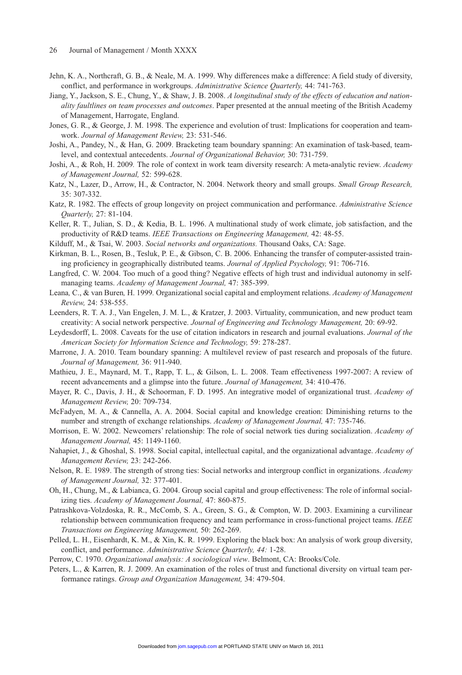- Jehn, K. A., Northcraft, G. B., & Neale, M. A. 1999. Why differences make a difference: A field study of diversity, conflict, and performance in workgroups. *Administrative Science Quarterly,* 44: 741-763.
- Jiang, Y., Jackson, S. E., Chung, Y., & Shaw, J. B. 2008. *A longitudinal study of the effects of education and nationality faultlines on team processes and outcomes*. Paper presented at the annual meeting of the British Academy of Management, Harrogate, England.
- Jones, G. R., & George, J. M. 1998. The experience and evolution of trust: Implications for cooperation and teamwork. *Journal of Management Review,* 23: 531-546.
- Joshi, A., Pandey, N., & Han, G. 2009. Bracketing team boundary spanning: An examination of task-based, teamlevel, and contextual antecedents. *Journal of Organizational Behavior,* 30: 731-759.
- Joshi, A., & Roh, H. 2009*.* The role of context in work team diversity research: A meta-analytic review. *Academy of Management Journal,* 52: 599-628.
- Katz, N., Lazer, D., Arrow, H., & Contractor, N. 2004. Network theory and small groups. *Small Group Research,* 35: 307-332.
- Katz, R. 1982. The effects of group longevity on project communication and performance. *Administrative Science Quarterly,* 27: 81-104.
- Keller, R. T., Julian, S. D., & Kedia, B. L. 1996. A multinational study of work climate, job satisfaction, and the productivity of R&D teams. *IEEE Transactions on Engineering Management,* 42: 48-55.
- Kilduff, M., & Tsai, W. 2003. *Social networks and organizations.* Thousand Oaks, CA: Sage.
- Kirkman, B. L., Rosen, B., Tesluk, P. E., & Gibson, C. B. 2006. Enhancing the transfer of computer-assisted training proficiency in geographically distributed teams. *Journal of Applied Psychology,* 91: 706-716.
- Langfred, C. W. 2004. Too much of a good thing? Negative effects of high trust and individual autonomy in selfmanaging teams. *Academy of Management Journal,* 47: 385-399.
- Leana*,* C., & van Buren*,* H. 1999*.* Organizational social capital and employment relations. *Academy of Management Review,* 24: 538-555.
- Leenders, R. T. A. J., Van Engelen, J. M. L., & Kratzer, J. 2003. Virtuality, communication, and new product team creativity: A social network perspective. *Journal of Engineering and Technology Management,* 20: 69-92.
- Leydesdorff, L. 2008. Caveats for the use of citation indicators in research and journal evaluations. *Journal of the American Society for Information Science and Technology,* 59: 278-287.
- Marrone, J. A. 2010. Team boundary spanning: A multilevel review of past research and proposals of the future. *Journal of Management,* 36: 911-940.
- Mathieu, J. E., Maynard, M. T., Rapp, T. L., & Gilson, L. L. 2008. Team effectiveness 1997-2007: A review of recent advancements and a glimpse into the future. *Journal of Management,* 34: 410-476.
- Mayer, R. C., Davis, J. H., & Schoorman, F. D. 1995. An integrative model of organizational trust. *Academy of Management Review,* 20: 709-734.
- McFadyen, M. A., & Cannella, A. A. 2004. Social capital and knowledge creation: Diminishing returns to the number and strength of exchange relationships. *Academy of Management Journal,* 47: 735-746.
- Morrison, E. W. 2002. Newcomers' relationship: The role of social network ties during socialization. *Academy of Management Journal,* 45: 1149-1160.
- Nahapiet, J., & Ghoshal, S. 1998. Social capital, intellectual capital, and the organizational advantage. *Academy of Management Review,* 23: 242-266.
- Nelson, R. E. 1989. The strength of strong ties: Social networks and intergroup conflict in organizations. *Academy of Management Journal,* 32: 377-401.
- Oh, H., Chung, M., & Labianca, G. 2004. Group social capital and group effectiveness: The role of informal socializing ties. *Academy of Management Journal,* 47: 860-875.
- Patrashkova-Volzdoska, R. R., McComb, S. A., Green, S. G., & Compton, W. D. 2003. Examining a curvilinear relationship between communication frequency and team performance in cross-functional project teams. *IEEE Transactions on Engineering Management,* 50: 262-269.
- Pelled, L. H., Eisenhardt, K. M., & Xin, K. R. 1999. Exploring the black box: An analysis of work group diversity, conflict, and performance. *Administrative Science Quarterly, 44:* 1-28.
- Perrow, C. 1970. *Organizational analysis: A sociological view*. Belmont, CA: Brooks/Cole.
- Peters, L., & Karren, R. J. 2009. An examination of the roles of trust and functional diversity on virtual team performance ratings. *Group and Organization Management,* 34: 479-504.